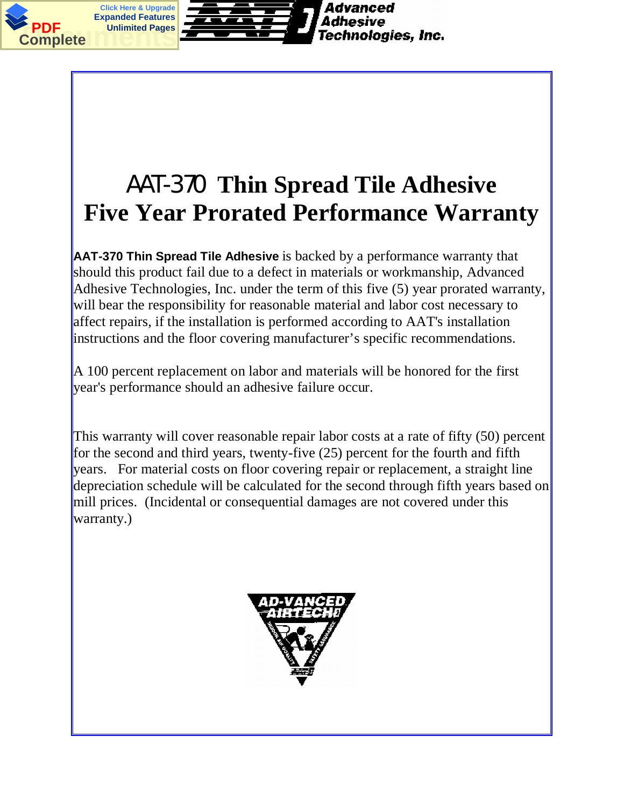

## AAT-370 **Thin Spread Tile Adhesive Five Year Prorated Performance Warranty**

**AAT-370 Thin Spread Tile Adhesive** is backed by a performance warranty that should this product fail due to a defect in materials or workmanship, Advanced Adhesive Technologies, Inc. under the term of this five (5) year prorated warranty, will bear the responsibility for reasonable material and labor cost necessary to affect repairs, if the installation is performed according to AAT's installation instructions and the floor covering manufacturer's specific recommendations.

 $\parallel$  A 100 percent replacement on labor and materials will be honored for the first year's performance should an adhesive failure occur.

This warranty will cover reasonable repair labor costs at a rate of fifty (50) percent for the second and third years, twenty-five (25) percent for the fourth and fifth years. For material costs on floor covering repair or replacement, a straight line depreciation schedule will be calculated for the second through fifth years based on mill prices. (Incidental or consequential damages are not covered under this warranty.)